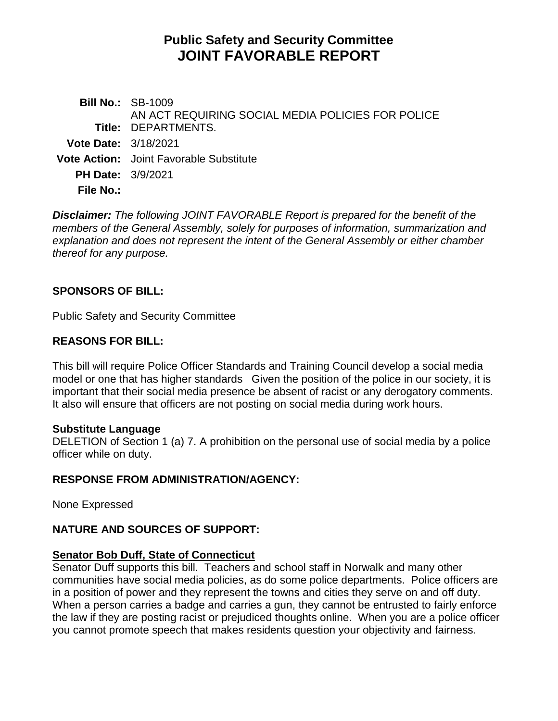# **Public Safety and Security Committee JOINT FAVORABLE REPORT**

**Bill No.:** SB-1009 **Title:** DEPARTMENTS. AN ACT REQUIRING SOCIAL MEDIA POLICIES FOR POLICE **Vote Date:** 3/18/2021 **Vote Action:** Joint Favorable Substitute **PH Date:** 3/9/2021 **File No.:**

*Disclaimer: The following JOINT FAVORABLE Report is prepared for the benefit of the members of the General Assembly, solely for purposes of information, summarization and explanation and does not represent the intent of the General Assembly or either chamber thereof for any purpose.*

# **SPONSORS OF BILL:**

Public Safety and Security Committee

# **REASONS FOR BILL:**

This bill will require Police Officer Standards and Training Council develop a social media model or one that has higher standards Given the position of the police in our society, it is important that their social media presence be absent of racist or any derogatory comments. It also will ensure that officers are not posting on social media during work hours.

#### **Substitute Language**

DELETION of Section 1 (a) 7. A prohibition on the personal use of social media by a police officer while on duty.

#### **RESPONSE FROM ADMINISTRATION/AGENCY:**

None Expressed

# **NATURE AND SOURCES OF SUPPORT:**

# **Senator Bob Duff, State of Connecticut**

Senator Duff supports this bill. Teachers and school staff in Norwalk and many other communities have social media policies, as do some police departments. Police officers are in a position of power and they represent the towns and cities they serve on and off duty. When a person carries a badge and carries a gun, they cannot be entrusted to fairly enforce the law if they are posting racist or prejudiced thoughts online. When you are a police officer you cannot promote speech that makes residents question your objectivity and fairness.